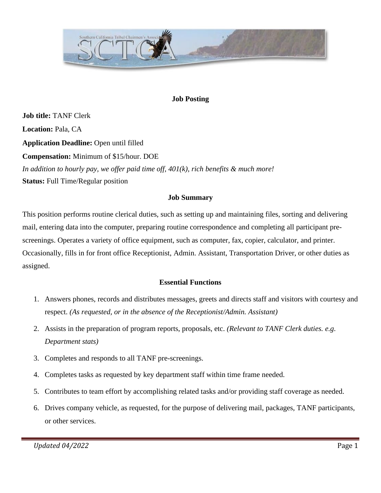

## **Job Posting**

**Job title:** TANF Clerk **Location:** Pala, CA **Application Deadline:** Open until filled **Compensation:** Minimum of \$15/hour. DOE *In addition to hourly pay, we offer paid time off, 401(k), rich benefits & much more!* **Status:** Full Time/Regular position

### **Job Summary**

This position performs routine clerical duties, such as setting up and maintaining files, sorting and delivering mail, entering data into the computer, preparing routine correspondence and completing all participant prescreenings. Operates a variety of office equipment, such as computer, fax, copier, calculator, and printer. Occasionally, fills in for front office Receptionist, Admin. Assistant, Transportation Driver, or other duties as assigned.

### **Essential Functions**

- 1. Answers phones, records and distributes messages, greets and directs staff and visitors with courtesy and respect. *(As requested, or in the absence of the Receptionist/Admin. Assistant)*
- 2. Assists in the preparation of program reports, proposals, etc. *(Relevant to TANF Clerk duties. e.g. Department stats)*
- 3. Completes and responds to all TANF pre-screenings.
- 4. Completes tasks as requested by key department staff within time frame needed.
- 5. Contributes to team effort by accomplishing related tasks and/or providing staff coverage as needed.
- 6. Drives company vehicle, as requested, for the purpose of delivering mail, packages, TANF participants, or other services.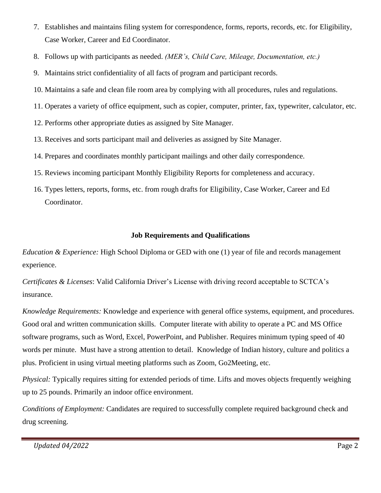- 7. Establishes and maintains filing system for correspondence, forms, reports, records, etc. for Eligibility, Case Worker, Career and Ed Coordinator.
- 8. Follows up with participants as needed. *(MER's, Child Care, Mileage, Documentation, etc.)*
- 9. Maintains strict confidentiality of all facts of program and participant records.
- 10. Maintains a safe and clean file room area by complying with all procedures, rules and regulations.
- 11. Operates a variety of office equipment, such as copier, computer, printer, fax, typewriter, calculator, etc.
- 12. Performs other appropriate duties as assigned by Site Manager.
- 13. Receives and sorts participant mail and deliveries as assigned by Site Manager.
- 14. Prepares and coordinates monthly participant mailings and other daily correspondence.
- 15. Reviews incoming participant Monthly Eligibility Reports for completeness and accuracy.
- 16. Types letters, reports, forms, etc. from rough drafts for Eligibility, Case Worker, Career and Ed Coordinator.

### **Job Requirements and Qualifications**

*Education & Experience:* High School Diploma or GED with one (1) year of file and records management experience.

*Certificates & Licenses*: Valid California Driver's License with driving record acceptable to SCTCA's insurance.

*Knowledge Requirements:* Knowledge and experience with general office systems, equipment, and procedures. Good oral and written communication skills. Computer literate with ability to operate a PC and MS Office software programs, such as Word, Excel, PowerPoint, and Publisher. Requires minimum typing speed of 40 words per minute. Must have a strong attention to detail. Knowledge of Indian history, culture and politics a plus. Proficient in using virtual meeting platforms such as Zoom, Go2Meeting, etc.

*Physical:* Typically requires sitting for extended periods of time. Lifts and moves objects frequently weighing up to 25 pounds. Primarily an indoor office environment.

*Conditions of Employment:* Candidates are required to successfully complete required background check and drug screening.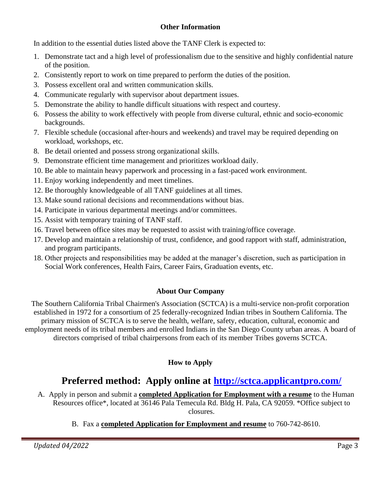## **Other Information**

In addition to the essential duties listed above the TANF Clerk is expected to:

- 1. Demonstrate tact and a high level of professionalism due to the sensitive and highly confidential nature of the position.
- 2. Consistently report to work on time prepared to perform the duties of the position.
- 3. Possess excellent oral and written communication skills.
- 4. Communicate regularly with supervisor about department issues.
- 5. Demonstrate the ability to handle difficult situations with respect and courtesy.
- 6. Possess the ability to work effectively with people from diverse cultural, ethnic and socio-economic backgrounds.
- 7. Flexible schedule (occasional after-hours and weekends) and travel may be required depending on workload, workshops, etc.
- 8. Be detail oriented and possess strong organizational skills.
- 9. Demonstrate efficient time management and prioritizes workload daily.
- 10. Be able to maintain heavy paperwork and processing in a fast-paced work environment.
- 11. Enjoy working independently and meet timelines.
- 12. Be thoroughly knowledgeable of all TANF guidelines at all times.
- 13. Make sound rational decisions and recommendations without bias.
- 14. Participate in various departmental meetings and/or committees.
- 15. Assist with temporary training of TANF staff.
- 16. Travel between office sites may be requested to assist with training/office coverage.
- 17. Develop and maintain a relationship of trust, confidence, and good rapport with staff, administration, and program participants.
- 18. Other projects and responsibilities may be added at the manager's discretion, such as participation in Social Work conferences, Health Fairs, Career Fairs, Graduation events, etc.

# **About Our Company**

The Southern California Tribal Chairmen's Association (SCTCA) is a multi-service non-profit corporation established in 1972 for a consortium of 25 federally-recognized Indian tribes in Southern California. The primary mission of SCTCA is to serve the health, welfare, safety, education, cultural, economic and employment needs of its tribal members and enrolled Indians in the San Diego County urban areas. A board of directors comprised of tribal chairpersons from each of its member Tribes governs SCTCA.

# **How to Apply**

# **Preferred method: Apply online at<http://sctca.applicantpro.com/>**

A. Apply in person and submit a **completed Application for Employment with a resume** to the Human Resources office\*, located at 36146 Pala Temecula Rd. Bldg H. Pala, CA 92059. \*Office subject to closures.

B. Fax a **completed Application for Employment and resume** to 760-742-8610.